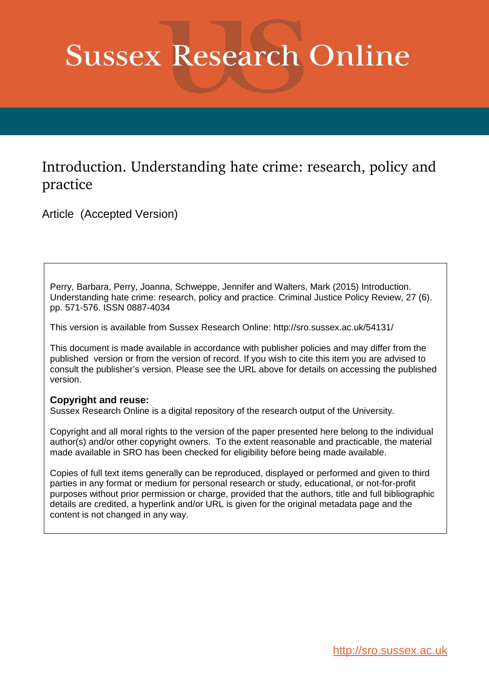# **Sussex Research Online**

# Introduction. Understanding hate crime: research, policy and practice

Article (Accepted Version)

Perry, Barbara, Perry, Joanna, Schweppe, Jennifer and Walters, Mark (2015) Introduction. Understanding hate crime: research, policy and practice. Criminal Justice Policy Review, 27 (6). pp. 571-576. ISSN 0887-4034

This version is available from Sussex Research Online: http://sro.sussex.ac.uk/54131/

This document is made available in accordance with publisher policies and may differ from the published version or from the version of record. If you wish to cite this item you are advised to consult the publisher's version. Please see the URL above for details on accessing the published version.

## **Copyright and reuse:**

Sussex Research Online is a digital repository of the research output of the University.

Copyright and all moral rights to the version of the paper presented here belong to the individual author(s) and/or other copyright owners. To the extent reasonable and practicable, the material made available in SRO has been checked for eligibility before being made available.

Copies of full text items generally can be reproduced, displayed or performed and given to third parties in any format or medium for personal research or study, educational, or not-for-profit purposes without prior permission or charge, provided that the authors, title and full bibliographic details are credited, a hyperlink and/or URL is given for the original metadata page and the content is not changed in any way.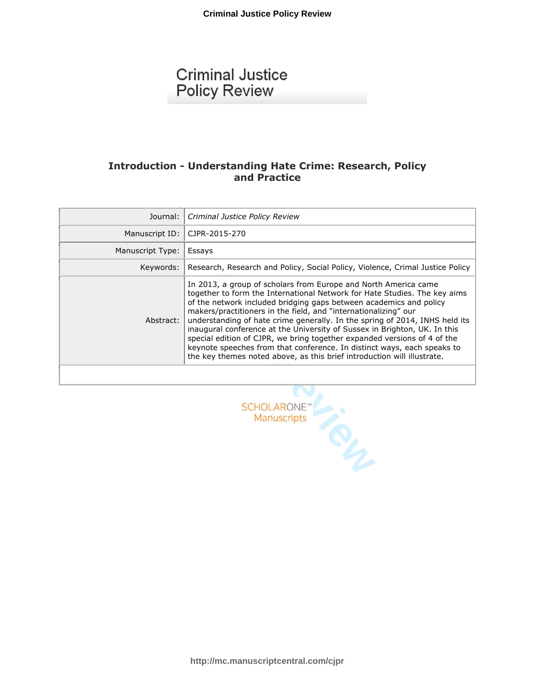# **Criminal Justice Policy Review**

## Introduction - Understanding Hate Crime: Research, Policy and Practice

| Journal:         | Criminal Justice Policy Review                                                                                                                                                                                                                                                                                                                                                                                                                                                                                                                                                                                                                                                      |  |
|------------------|-------------------------------------------------------------------------------------------------------------------------------------------------------------------------------------------------------------------------------------------------------------------------------------------------------------------------------------------------------------------------------------------------------------------------------------------------------------------------------------------------------------------------------------------------------------------------------------------------------------------------------------------------------------------------------------|--|
| Manuscript ID:   | CJPR-2015-270                                                                                                                                                                                                                                                                                                                                                                                                                                                                                                                                                                                                                                                                       |  |
| Manuscript Type: | Essays                                                                                                                                                                                                                                                                                                                                                                                                                                                                                                                                                                                                                                                                              |  |
| Keywords:        | Research, Research and Policy, Social Policy, Violence, Crimal Justice Policy                                                                                                                                                                                                                                                                                                                                                                                                                                                                                                                                                                                                       |  |
| Abstract:        | In 2013, a group of scholars from Europe and North America came<br>together to form the International Network for Hate Studies. The key aims<br>of the network included bridging gaps between academics and policy<br>makers/practitioners in the field, and "internationalizing" our<br>understanding of hate crime generally. In the spring of 2014, INHS held its<br>inaugural conference at the University of Sussex in Brighton, UK. In this<br>special edition of CJPR, we bring together expanded versions of 4 of the<br>keynote speeches from that conference. In distinct ways, each speaks to<br>the key themes noted above, as this brief introduction will illustrate. |  |
|                  |                                                                                                                                                                                                                                                                                                                                                                                                                                                                                                                                                                                                                                                                                     |  |
|                  | <b>SCHOLARONE</b> "<br>Manuscripts                                                                                                                                                                                                                                                                                                                                                                                                                                                                                                                                                                                                                                                  |  |

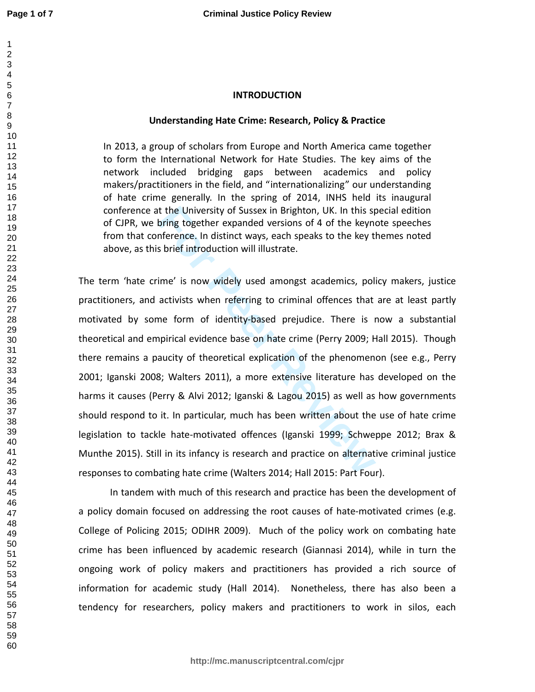#### $\mathbf{1}$   $\overline{2}$

### **INTRODUCTION**

#### **Understanding Hate Crime: Research, Policy & Practice**

In 2013, a group of scholars from Europe and North America came together to form the International Network for Hate Studies. The key aims of the network included bridging gaps between academics and policy makers/practitioners in the field, and "internationalizing" our understanding of hate crime generally. In the spring of 2014, INHS held its inaugural conference at the University of Sussex in Brighton, UK. In this special edition of CJPR, we bring together expanded versions of 4 of the keynote speeches from that conference. In distinct ways, each speaks to the key themes noted above, as this brief introduction will illustrate.

It the University of Sussex in Brighton, UK. In this styling together expanded versions of 4 of the keynofference. In distinct ways, each speaks to the key the shire introduction will illustrate.<br>
For Peer Reviewal interva The term 'hate crime' is now widely used amongst academics, policy makers, justice practitioners, and activists when referring to criminal offences that are at least partly motivated by some form of identity-based prejudice. There is now a substantial theoretical and empirical evidence base on hate crime (Perry 2009; Hall 2015). Though there remains a paucity of theoretical explication of the phenomenon (see e.g., Perry 2001; Iganski 2008; Walters 2011), a more extensive literature has developed on the harms it causes (Perry & Alvi 2012; Iganski & Lagou 2015) as well as how governments should respond to it. In particular, much has been written about the use of hate crime legislation to tackle hate-motivated offences (Iganski 1999; Schweppe 2012; Brax & Munthe 2015). Still in its infancy is research and practice on alternative criminal justice responses to combating hate crime (Walters 2014; Hall 2015: Part Four).

In tandem with much of this research and practice has been the development of a policy domain focused on addressing the root causes of hate-motivated crimes (e.g. College of Policing 2015; ODIHR 2009). Much of the policy work on combating hate crime has been influenced by academic research (Giannasi 2014), while in turn the ongoing work of policy makers and practitioners has provided a rich source of information for academic study (Hall 2014). Nonetheless, there has also been a tendency for researchers, policy makers and practitioners to work in silos, each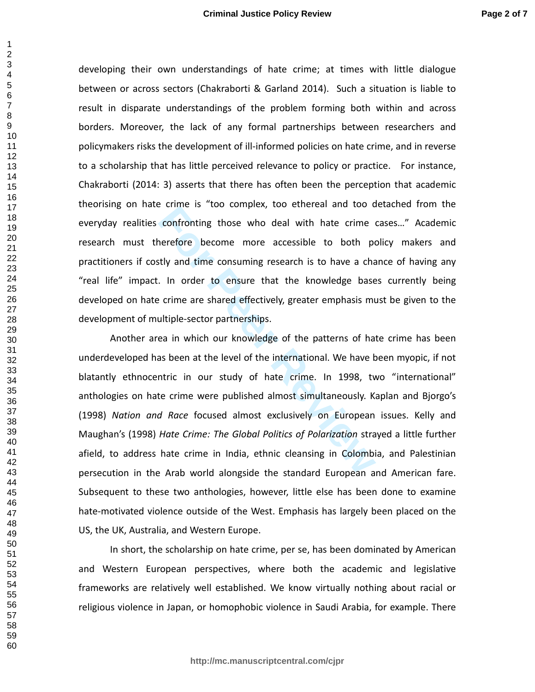developing their own understandings of hate crime; at times with little dialogue between or across sectors (Chakraborti & Garland 2014). Such a situation is liable to result in disparate understandings of the problem forming both within and across borders. Moreover, the lack of any formal partnerships between researchers and policymakers risks the development of ill-informed policies on hate crime, and in reverse to a scholarship that has little perceived relevance to policy or practice. For instance, Chakraborti (2014: 3) asserts that there has often been the perception that academic theorising on hate crime is "too complex, too ethereal and too detached from the everyday realities confronting those who deal with hate crime cases…" Academic research must therefore become more accessible to both policy makers and practitioners if costly and time consuming research is to have a chance of having any "real life" impact. In order to ensure that the knowledge bases currently being developed on hate crime are shared effectively, greater emphasis must be given to the development of multiple-sector partnerships.

Forme is too complex, too centered and too domfronting those who deal with hate crime a<br>nerefore become more accessible to both portify and time consuming research is to have a cha<br>For Peer Reviewald and the knowledge base Another area in which our knowledge of the patterns of hate crime has been underdeveloped has been at the level of the international. We have been myopic, if not blatantly ethnocentric in our study of hate crime. In 1998, two "international" anthologies on hate crime were published almost simultaneously. Kaplan and Bjorgo's (1998) *Nation and Race* focused almost exclusively on European issues. Kelly and Maughan's (1998) *Hate Crime: The Global Politics of Polarization* strayed a little further afield, to address hate crime in India, ethnic cleansing in Colombia, and Palestinian persecution in the Arab world alongside the standard European and American fare. Subsequent to these two anthologies, however, little else has been done to examine hate-motivated violence outside of the West. Emphasis has largely been placed on the US, the UK, Australia, and Western Europe.

In short, the scholarship on hate crime, per se, has been dominated by American and Western European perspectives, where both the academic and legislative frameworks are relatively well established. We know virtually nothing about racial or religious violence in Japan, or homophobic violence in Saudi Arabia, for example. There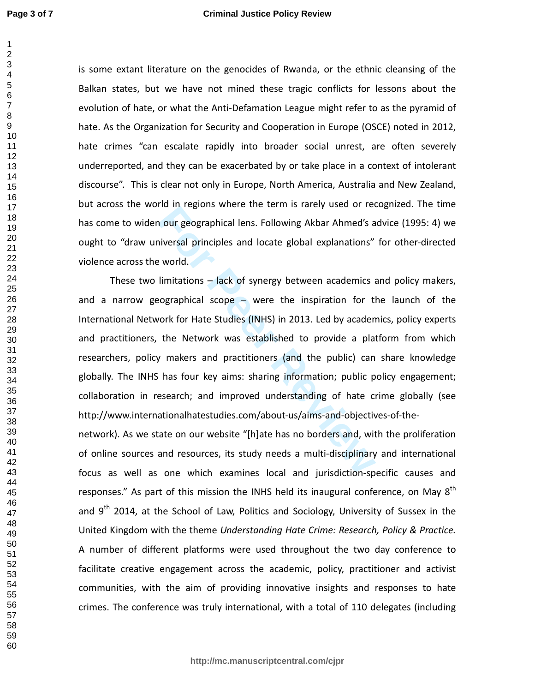is some extant literature on the genocides of Rwanda, or the ethnic cleansing of the Balkan states, but we have not mined these tragic conflicts for lessons about the evolution of hate, or what the Anti-Defamation League might refer to as the pyramid of hate. As the Organization for Security and Cooperation in Europe (OSCE) noted in 2012, hate crimes "can escalate rapidly into broader social unrest, are often severely underreported, and they can be exacerbated by or take place in a context of intolerant discourse". This is clear not only in Europe, North America, Australia and New Zealand, but across the world in regions where the term is rarely used or recognized. The time has come to widen our geographical lens. Following Akbar Ahmed's advice (1995: 4) we ought to "draw universal principles and locate global explanations" for other-directed violence across the world.

**For Pregnal Science and English Science Alternal Science Alternal Science Science Science Science Science Science Science Science Science Science Science Science Science Science Science Science Science Science Science Sci** These two limitations – lack of synergy between academics and policy makers, and a narrow geographical scope – were the inspiration for the launch of the International Network for Hate Studies (INHS) in 2013. Led by academics, policy experts and practitioners, the Network was established to provide a platform from which researchers, policy makers and practitioners (and the public) can share knowledge globally. The INHS has four key aims: sharing information; public policy engagement; collaboration in research; and improved understanding of hate crime globally (see http://www.internationalhatestudies.com/about-us/aims-and-objectives-of-the-

network). As we state on our website "[h]ate has no borders and, with the proliferation of online sources and resources, its study needs a multi-disciplinary and international focus as well as one which examines local and jurisdiction-specific causes and responses." As part of this mission the INHS held its inaugural conference, on May  $8<sup>th</sup>$ and  $9<sup>th</sup>$  2014, at the School of Law, Politics and Sociology, University of Sussex in the United Kingdom with the theme *Understanding Hate Crime: Research, Policy & Practice.*  A number of different platforms were used throughout the two day conference to facilitate creative engagement across the academic, policy, practitioner and activist communities, with the aim of providing innovative insights and responses to hate crimes. The conference was truly international, with a total of 110 delegates (including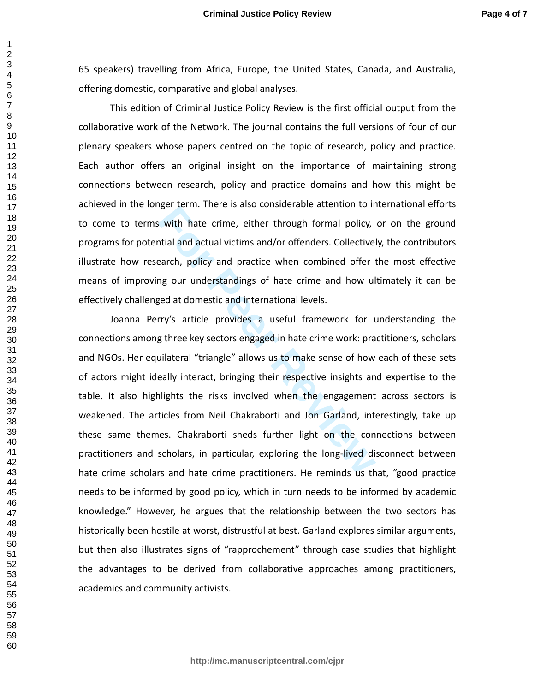65 speakers) travelling from Africa, Europe, the United States, Canada, and Australia, offering domestic, comparative and global analyses.

 This edition of Criminal Justice Policy Review is the first official output from the collaborative work of the Network. The journal contains the full versions of four of our plenary speakers whose papers centred on the topic of research, policy and practice. Each author offers an original insight on the importance of maintaining strong connections between research, policy and practice domains and how this might be achieved in the longer term. There is also considerable attention to international efforts to come to terms with hate crime, either through formal policy, or on the ground programs for potential and actual victims and/or offenders. Collectively, the contributors illustrate how research, policy and practice when combined offer the most effective means of improving our understandings of hate crime and how ultimately it can be effectively challenged at domestic and international levels.

**Formal Matter Constrainer and policy,**<br>**Formal policy,**<br>**Formal and actual victims and/or offenders. Collectivel**<br>**Earch, policy and practice when combined offer t**<br>**Ing our understandings of hate crime and how ul**<br>**Forma**  Joanna Perry's article provides a useful framework for understanding the connections among three key sectors engaged in hate crime work: practitioners, scholars and NGOs. Her equilateral "triangle" allows us to make sense of how each of these sets of actors might ideally interact, bringing their respective insights and expertise to the table. It also highlights the risks involved when the engagement across sectors is weakened. The articles from Neil Chakraborti and Jon Garland, interestingly, take up these same themes. Chakraborti sheds further light on the connections between practitioners and scholars, in particular, exploring the long-lived disconnect between hate crime scholars and hate crime practitioners. He reminds us that, "good practice needs to be informed by good policy, which in turn needs to be informed by academic knowledge." However, he argues that the relationship between the two sectors has historically been hostile at worst, distrustful at best. Garland explores similar arguments, but then also illustrates signs of "rapprochement" through case studies that highlight the advantages to be derived from collaborative approaches among practitioners, academics and community activists.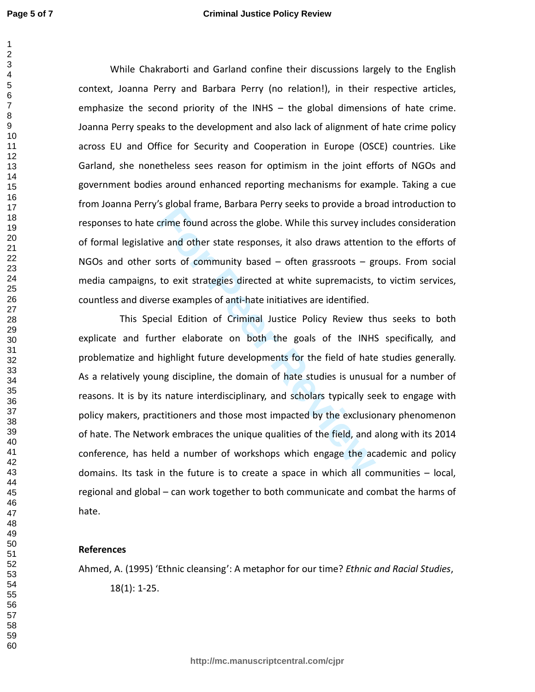While Chakraborti and Garland confine their discussions largely to the English context, Joanna Perry and Barbara Perry (no relation!), in their respective articles, emphasize the second priority of the INHS – the global dimensions of hate crime. Joanna Perry speaks to the development and also lack of alignment of hate crime policy across EU and Office for Security and Cooperation in Europe (OSCE) countries. Like Garland, she nonetheless sees reason for optimism in the joint efforts of NGOs and government bodies around enhanced reporting mechanisms for example. Taking a cue from Joanna Perry's global frame, Barbara Perry seeks to provide a broad introduction to responses to hate crime found across the globe. While this survey includes consideration of formal legislative and other state responses, it also draws attention to the efforts of NGOs and other sorts of community based – often grassroots – groups. From social media campaigns, to exit strategies directed at white supremacists, to victim services, countless and diverse examples of anti-hate initiatives are identified.

**Forme found across the globe.** While this survey includes and other state responses, it also draws attentions of community based – often grassroots – gives to exit strategies directed at white supremacists, see examples o This Special Edition of Criminal Justice Policy Review thus seeks to both explicate and further elaborate on both the goals of the INHS specifically, and problematize and highlight future developments for the field of hate studies generally. As a relatively young discipline, the domain of hate studies is unusual for a number of reasons. It is by its nature interdisciplinary, and scholars typically seek to engage with policy makers, practitioners and those most impacted by the exclusionary phenomenon of hate. The Network embraces the unique qualities of the field, and along with its 2014 conference, has held a number of workshops which engage the academic and policy domains. Its task in the future is to create a space in which all communities – local, regional and global – can work together to both communicate and combat the harms of hate.

#### **References**

Ahmed, A. (1995) 'Ethnic cleansing': A metaphor for our time? *Ethnic and Racial Studies*, 18(1): 1-25.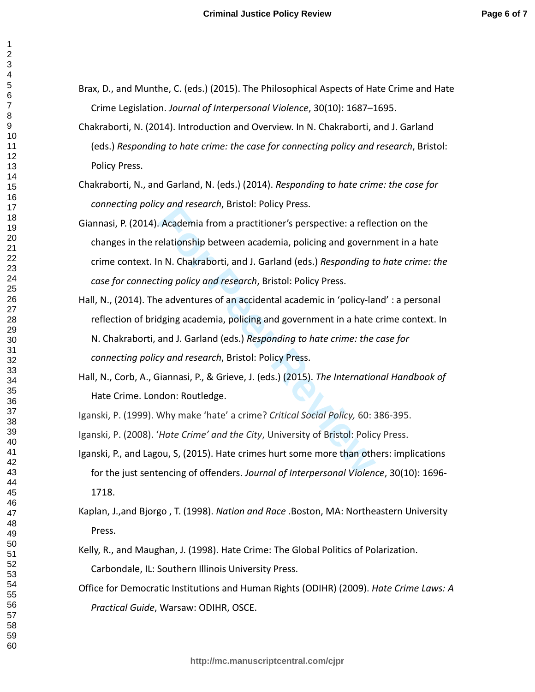$\mathbf{1}$ 

- Brax, D., and Munthe, C. (eds.) (2015). The Philosophical Aspects of Hate Crime and Hate Crime Legislation. *Journal of Interpersonal Violence*, 30(10): 1687–1695.
	- Chakraborti, N. (2014). Introduction and Overview. In N. Chakraborti, and J. Garland (eds.) *Responding to hate crime: the case for connecting policy and research*, Bristol: Policy Press.
	- Chakraborti, N., and Garland, N. (eds.) (2014). *Responding to hate crime: the case for connecting policy and research*, Bristol: Policy Press.
	- Giannasi, P. (2014). Academia from a practitioner's perspective: a reflection on the changes in the relationship between academia, policing and government in a hate crime context. In N. Chakraborti, and J. Garland (eds.) *Responding to hate crime: the case for connecting policy and research*, Bristol: Policy Press.
	- *Formalista Commistalista Commistalista Circusationship between academia, policing and govern*<br>
	In N. Chakraborti, and J. Garland (eds.) *Responding to ting policy and research*, Bristol: Policy Press.<br>
	E adventures of an Hall, N., (2014). The adventures of an accidental academic in 'policy-land' : a personal reflection of bridging academia, policing and government in a hate crime context. In N. Chakraborti, and J. Garland (eds.) *Responding to hate crime: the case for connecting policy and research*, Bristol: Policy Press.
	- Hall, N., Corb, A., Giannasi, P., & Grieve, J. (eds.) (2015). *The International Handbook of*  Hate Crime. London: Routledge.
	- Iganski, P. (1999). Why make 'hate' a crime? *Critical Social Policy,* 60: 386-395.
- Iganski, P. (2008). '*Hate Crime' and the City*, University of Bristol: Policy Press.
- Iganski, P., and Lagou, S, (2015). Hate crimes hurt some more than others: implications for the just sentencing of offenders. *Journal of Interpersonal Violence*, 30(10): 1696- 1718.
- Kaplan, J.,and Bjorgo , T. (1998). *Nation and Race* .Boston, MA: Northeastern University Press.
- Kelly, R., and Maughan, J. (1998). Hate Crime: The Global Politics of Polarization. Carbondale, IL: Southern Illinois University Press.
- Office for Democratic Institutions and Human Rights (ODIHR) (2009). *Hate Crime Laws: A Practical Guide*, Warsaw: ODIHR, OSCE.